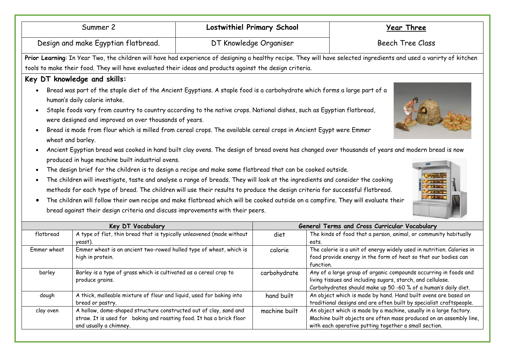| Summer 2                                                                                                                                                                                                                                                                                                                                                                                                                                                                                                                                                                                                                                                                                                                                                                                                                                                                                                                                                                                                                                                                                                                                                                                                                                                                                                                                                      |                                                                                                                                                                     |                                               | <b>Lostwithiel Primary School</b> | <b>Year Three</b>                                                                                                                                                                                 |  |  |
|---------------------------------------------------------------------------------------------------------------------------------------------------------------------------------------------------------------------------------------------------------------------------------------------------------------------------------------------------------------------------------------------------------------------------------------------------------------------------------------------------------------------------------------------------------------------------------------------------------------------------------------------------------------------------------------------------------------------------------------------------------------------------------------------------------------------------------------------------------------------------------------------------------------------------------------------------------------------------------------------------------------------------------------------------------------------------------------------------------------------------------------------------------------------------------------------------------------------------------------------------------------------------------------------------------------------------------------------------------------|---------------------------------------------------------------------------------------------------------------------------------------------------------------------|-----------------------------------------------|-----------------------------------|---------------------------------------------------------------------------------------------------------------------------------------------------------------------------------------------------|--|--|
| Design and make Egyptian flatbread.                                                                                                                                                                                                                                                                                                                                                                                                                                                                                                                                                                                                                                                                                                                                                                                                                                                                                                                                                                                                                                                                                                                                                                                                                                                                                                                           |                                                                                                                                                                     | DT Knowledge Organiser                        | <b>Beech Tree Class</b>           |                                                                                                                                                                                                   |  |  |
|                                                                                                                                                                                                                                                                                                                                                                                                                                                                                                                                                                                                                                                                                                                                                                                                                                                                                                                                                                                                                                                                                                                                                                                                                                                                                                                                                               | Prior Learning: In Year Two, the children will have had experience of designing a healthy recipe. They will have selected ingredients and used a varirty of kitchen |                                               |                                   |                                                                                                                                                                                                   |  |  |
| tools to make their food. They will have evaluated their ideas and products against the design criteria.                                                                                                                                                                                                                                                                                                                                                                                                                                                                                                                                                                                                                                                                                                                                                                                                                                                                                                                                                                                                                                                                                                                                                                                                                                                      |                                                                                                                                                                     |                                               |                                   |                                                                                                                                                                                                   |  |  |
| Key DT knowledge and skills:                                                                                                                                                                                                                                                                                                                                                                                                                                                                                                                                                                                                                                                                                                                                                                                                                                                                                                                                                                                                                                                                                                                                                                                                                                                                                                                                  |                                                                                                                                                                     |                                               |                                   |                                                                                                                                                                                                   |  |  |
| Bread was part of the staple diet of the Ancient Egyptians. A staple food is a carbohydrate which forms a large part of a<br>human's daily calorie intake.<br>Staple foods vary from country to country according to the native crops. National dishes, such as Egyptian flatbread,<br>$\bullet$<br>were designed and improved on over thousands of years.<br>Bread is made from flour which is milled from cereal crops. The available cereal crops in Ancient Egypt were Emmer<br>$\bullet$<br>wheat and barley.<br>Ancient Egyptian bread was cooked in hand built clay ovens. The design of bread ovens has changed over thousands of years and modern bread is now<br>produced in huge machine built industrial ovens.<br>The design brief for the children is to design a recipe and make some flatbread that can be cooked outside.<br>$\bullet$<br>The children will investigate, taste and analyse a range of breads. They will look at the ingredients and consider the cooking<br>$\bullet$<br>methods for each type of bread. The children will use their results to produce the design criteria for successful flatbread.<br>The children will follow their own recipe and make flatbread which will be cooked outside on a campfire. They will evaluate their<br>bread against their design criteria and discuss improvements with their peers. |                                                                                                                                                                     |                                               |                                   |                                                                                                                                                                                                   |  |  |
| Key DT Vocabulary                                                                                                                                                                                                                                                                                                                                                                                                                                                                                                                                                                                                                                                                                                                                                                                                                                                                                                                                                                                                                                                                                                                                                                                                                                                                                                                                             |                                                                                                                                                                     | General Terms and Cross Curricular Vocabulary |                                   |                                                                                                                                                                                                   |  |  |
| flatbread                                                                                                                                                                                                                                                                                                                                                                                                                                                                                                                                                                                                                                                                                                                                                                                                                                                                                                                                                                                                                                                                                                                                                                                                                                                                                                                                                     | A type of flat, thin bread that is typically unleavened (made without<br>yeast).                                                                                    |                                               | diet                              | The kinds of food that a person, animal, or community habitually<br>eats.                                                                                                                         |  |  |
| Emmer wheat                                                                                                                                                                                                                                                                                                                                                                                                                                                                                                                                                                                                                                                                                                                                                                                                                                                                                                                                                                                                                                                                                                                                                                                                                                                                                                                                                   | Emmer wheat is an ancient two-rowed hulled type of wheat, which is<br>high in protein.                                                                              |                                               | calorie                           | The calorie is a unit of energy widely used in nutrition. Calories in<br>food provide energy in the form of heat so that our bodies can<br>function.                                              |  |  |
| barley                                                                                                                                                                                                                                                                                                                                                                                                                                                                                                                                                                                                                                                                                                                                                                                                                                                                                                                                                                                                                                                                                                                                                                                                                                                                                                                                                        | Barley is a type of grass which is cultivated as a cereal crop to<br>produce grains.                                                                                |                                               | carbohydrate                      | Any of a large group of organic compounds occurring in foods and<br>living tissues and including sugars, starch, and cellulose.<br>Carbohydrates should make up 50 -60 % of a human's daily diet. |  |  |
| dough                                                                                                                                                                                                                                                                                                                                                                                                                                                                                                                                                                                                                                                                                                                                                                                                                                                                                                                                                                                                                                                                                                                                                                                                                                                                                                                                                         | A thick, malleable mixture of flour and liquid, used for baking into<br>bread or pastry.                                                                            |                                               | hand built                        | An object which is made by hand. Hand built ovens are based on<br>traditional designs and are often built by specialist craftspeople.                                                             |  |  |
| clay oven                                                                                                                                                                                                                                                                                                                                                                                                                                                                                                                                                                                                                                                                                                                                                                                                                                                                                                                                                                                                                                                                                                                                                                                                                                                                                                                                                     | A hollow, dome-shaped structure constructed out of clay, sand and<br>straw. It is used for baking and roasting food. It has a brick floor<br>and usually a chimney. |                                               | machine built                     | An object which is made by a machine, usually in a large factory.<br>Machine built objects are often mass produced on an assembly line,<br>with each operative putting together a small section.  |  |  |